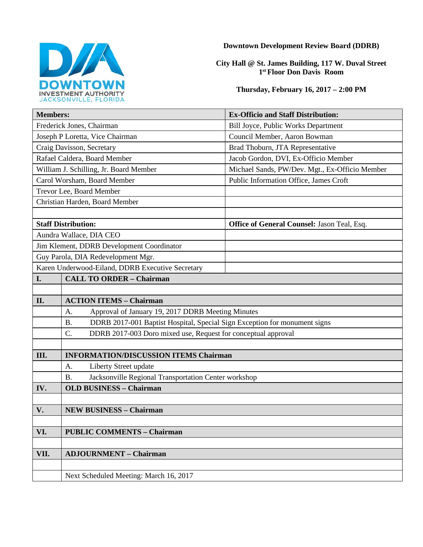

### **Downtown Development Review Board (DDRB)**

### **City Hall @ St. James Building, 117 W. Duval Street 1st Floor Don Davis Room**

### **Thursday, February 16, 2017 – 2:00 PM**

| <b>Members:</b>                                  |                                                                                        | <b>Ex-Officio and Staff Distribution:</b>      |  |
|--------------------------------------------------|----------------------------------------------------------------------------------------|------------------------------------------------|--|
| Frederick Jones, Chairman                        |                                                                                        | Bill Joyce, Public Works Department            |  |
| Joseph P Loretta, Vice Chairman                  |                                                                                        | Council Member, Aaron Bowman                   |  |
| Craig Davisson, Secretary                        |                                                                                        | Brad Thoburn, JTA Representative               |  |
| Rafael Caldera, Board Member                     |                                                                                        | Jacob Gordon, DVI, Ex-Officio Member           |  |
| William J. Schilling, Jr. Board Member           |                                                                                        | Michael Sands, PW/Dev. Mgt., Ex-Officio Member |  |
| Carol Worsham, Board Member                      |                                                                                        | Public Information Office, James Croft         |  |
| Trevor Lee, Board Member                         |                                                                                        |                                                |  |
| Christian Harden, Board Member                   |                                                                                        |                                                |  |
|                                                  |                                                                                        |                                                |  |
| <b>Staff Distribution:</b>                       |                                                                                        | Office of General Counsel: Jason Teal, Esq.    |  |
| Aundra Wallace, DIA CEO                          |                                                                                        |                                                |  |
| Jim Klement, DDRB Development Coordinator        |                                                                                        |                                                |  |
| Guy Parola, DIA Redevelopment Mgr.               |                                                                                        |                                                |  |
| Karen Underwood-Eiland, DDRB Executive Secretary |                                                                                        |                                                |  |
| I.                                               | <b>CALL TO ORDER - Chairman</b>                                                        |                                                |  |
|                                                  |                                                                                        |                                                |  |
| II.                                              | <b>ACTION ITEMS - Chairman</b>                                                         |                                                |  |
|                                                  | Approval of January 19, 2017 DDRB Meeting Minutes<br>A.                                |                                                |  |
|                                                  | DDRB 2017-001 Baptist Hospital, Special Sign Exception for monument signs<br><b>B.</b> |                                                |  |
|                                                  | $C$ .<br>DDRB 2017-003 Doro mixed use, Request for conceptual approval                 |                                                |  |
|                                                  |                                                                                        |                                                |  |
| Ш.                                               | <b>INFORMATION/DISCUSSION ITEMS Chairman</b>                                           |                                                |  |
|                                                  | A.<br>Liberty Street update                                                            |                                                |  |
|                                                  | Jacksonville Regional Transportation Center workshop<br><b>B.</b>                      |                                                |  |
| IV.                                              | <b>OLD BUSINESS - Chairman</b>                                                         |                                                |  |
|                                                  |                                                                                        |                                                |  |
| V.                                               | <b>NEW BUSINESS - Chairman</b>                                                         |                                                |  |
|                                                  |                                                                                        |                                                |  |
| VI.                                              | <b>PUBLIC COMMENTS - Chairman</b>                                                      |                                                |  |
|                                                  |                                                                                        |                                                |  |
| <b>ADJOURNMENT - Chairman</b><br>VII.            |                                                                                        |                                                |  |
|                                                  |                                                                                        |                                                |  |
|                                                  | Next Scheduled Meeting: March 16, 2017                                                 |                                                |  |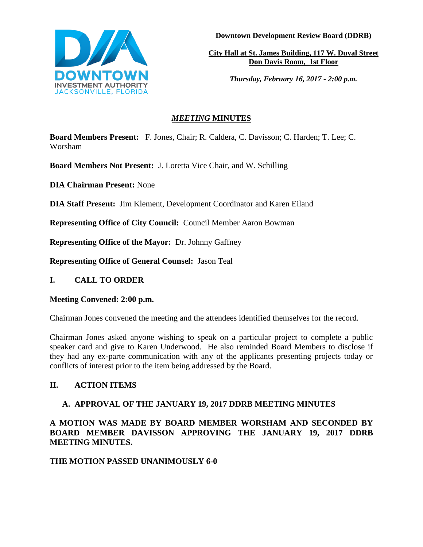

**Downtown Development Review Board (DDRB)**

**City Hall at St. James Building, 117 W. Duval Street Don Davis Room, 1st Floor**

*Thursday, February 16, 2017 - 2:00 p.m.*

# *MEETING* **MINUTES**

**Board Members Present:** F. Jones, Chair; R. Caldera, C. Davisson; C. Harden; T. Lee; C. Worsham

**Board Members Not Present:** J. Loretta Vice Chair, and W. Schilling

**DIA Chairman Present:** None

**DIA Staff Present:** Jim Klement, Development Coordinator and Karen Eiland

**Representing Office of City Council:** Council Member Aaron Bowman

**Representing Office of the Mayor:** Dr. Johnny Gaffney

**Representing Office of General Counsel:** Jason Teal

# **I. CALL TO ORDER**

# **Meeting Convened: 2:00 p.m.**

Chairman Jones convened the meeting and the attendees identified themselves for the record.

Chairman Jones asked anyone wishing to speak on a particular project to complete a public speaker card and give to Karen Underwood. He also reminded Board Members to disclose if they had any ex-parte communication with any of the applicants presenting projects today or conflicts of interest prior to the item being addressed by the Board.

# **II. ACTION ITEMS**

# **A. APPROVAL OF THE JANUARY 19, 2017 DDRB MEETING MINUTES**

**A MOTION WAS MADE BY BOARD MEMBER WORSHAM AND SECONDED BY BOARD MEMBER DAVISSON APPROVING THE JANUARY 19, 2017 DDRB MEETING MINUTES.** 

# **THE MOTION PASSED UNANIMOUSLY 6-0**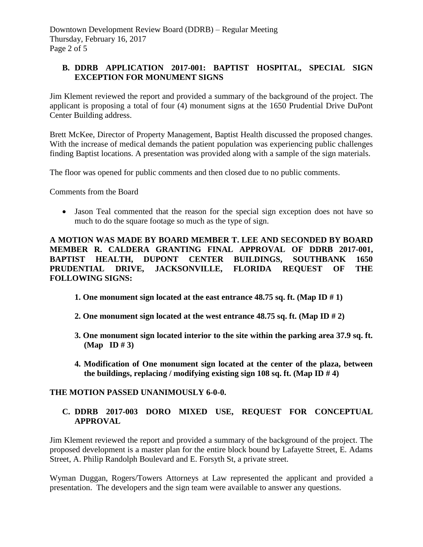# **B. DDRB APPLICATION 2017-001: BAPTIST HOSPITAL, SPECIAL SIGN EXCEPTION FOR MONUMENT SIGNS**

Jim Klement reviewed the report and provided a summary of the background of the project. The applicant is proposing a total of four (4) monument signs at the 1650 Prudential Drive DuPont Center Building address.

Brett McKee, Director of Property Management, Baptist Health discussed the proposed changes. With the increase of medical demands the patient population was experiencing public challenges finding Baptist locations. A presentation was provided along with a sample of the sign materials.

The floor was opened for public comments and then closed due to no public comments.

Comments from the Board

 Jason Teal commented that the reason for the special sign exception does not have so much to do the square footage so much as the type of sign.

**A MOTION WAS MADE BY BOARD MEMBER T. LEE AND SECONDED BY BOARD MEMBER R. CALDERA GRANTING FINAL APPROVAL OF DDRB 2017-001, BAPTIST HEALTH, DUPONT CENTER BUILDINGS, SOUTHBANK 1650 PRUDENTIAL DRIVE, JACKSONVILLE, FLORIDA REQUEST OF THE FOLLOWING SIGNS:** 

- **1. One monument sign located at the east entrance 48.75 sq. ft. (Map ID # 1)**
- **2. One monument sign located at the west entrance 48.75 sq. ft. (Map ID # 2)**
- **3. One monument sign located interior to the site within the parking area 37.9 sq. ft. (Map ID # 3)**
- **4. Modification of One monument sign located at the center of the plaza, between the buildings, replacing / modifying existing sign 108 sq. ft. (Map ID # 4)**

### **THE MOTION PASSED UNANIMOUSLY 6-0-0.**

## **C. DDRB 2017-003 DORO MIXED USE, REQUEST FOR CONCEPTUAL APPROVAL**

Jim Klement reviewed the report and provided a summary of the background of the project. The proposed development is a master plan for the entire block bound by Lafayette Street, E. Adams Street, A. Philip Randolph Boulevard and E. Forsyth St, a private street.

Wyman Duggan, Rogers/Towers Attorneys at Law represented the applicant and provided a presentation. The developers and the sign team were available to answer any questions.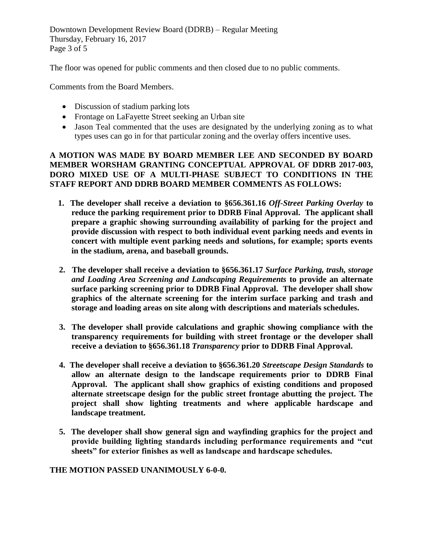Downtown Development Review Board (DDRB) – Regular Meeting Thursday, February 16, 2017 Page 3 of 5

The floor was opened for public comments and then closed due to no public comments.

Comments from the Board Members.

- Discussion of stadium parking lots
- Frontage on LaFayette Street seeking an Urban site
- Jason Teal commented that the uses are designated by the underlying zoning as to what types uses can go in for that particular zoning and the overlay offers incentive uses.

## **A MOTION WAS MADE BY BOARD MEMBER LEE AND SECONDED BY BOARD MEMBER WORSHAM GRANTING CONCEPTUAL APPROVAL OF DDRB 2017-003, DORO MIXED USE OF A MULTI-PHASE SUBJECT TO CONDITIONS IN THE STAFF REPORT AND DDRB BOARD MEMBER COMMENTS AS FOLLOWS:**

- **1. The developer shall receive a deviation to §656.361.16** *Off-Street Parking Overlay* **to reduce the parking requirement prior to DDRB Final Approval. The applicant shall prepare a graphic showing surrounding availability of parking for the project and provide discussion with respect to both individual event parking needs and events in concert with multiple event parking needs and solutions, for example; sports events in the stadium, arena, and baseball grounds.**
- **2. The developer shall receive a deviation to §656.361.17** *Surface Parking, trash, storage and Loading Area Screening and Landscaping Requirements* **to provide an alternate surface parking screening prior to DDRB Final Approval. The developer shall show graphics of the alternate screening for the interim surface parking and trash and storage and loading areas on site along with descriptions and materials schedules.**
- **3. The developer shall provide calculations and graphic showing compliance with the transparency requirements for building with street frontage or the developer shall receive a deviation to §656.361.18** *Transparency* **prior to DDRB Final Approval.**
- **4. The developer shall receive a deviation to §656.361.20** *Streetscape Design Standards* **to allow an alternate design to the landscape requirements prior to DDRB Final Approval. The applicant shall show graphics of existing conditions and proposed alternate streetscape design for the public street frontage abutting the project. The project shall show lighting treatments and where applicable hardscape and landscape treatment.**
- **5. The developer shall show general sign and wayfinding graphics for the project and provide building lighting standards including performance requirements and "cut sheets" for exterior finishes as well as landscape and hardscape schedules.**

### **THE MOTION PASSED UNANIMOUSLY 6-0-0.**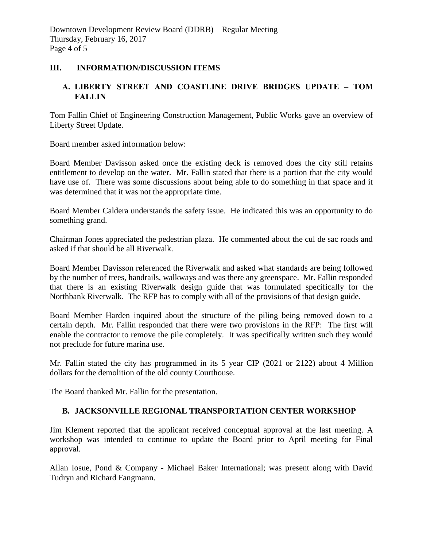## **III. INFORMATION/DISCUSSION ITEMS**

# **A. LIBERTY STREET AND COASTLINE DRIVE BRIDGES UPDATE – TOM FALLIN**

Tom Fallin Chief of Engineering Construction Management, Public Works gave an overview of Liberty Street Update.

Board member asked information below:

Board Member Davisson asked once the existing deck is removed does the city still retains entitlement to develop on the water. Mr. Fallin stated that there is a portion that the city would have use of. There was some discussions about being able to do something in that space and it was determined that it was not the appropriate time.

Board Member Caldera understands the safety issue. He indicated this was an opportunity to do something grand.

Chairman Jones appreciated the pedestrian plaza. He commented about the cul de sac roads and asked if that should be all Riverwalk.

Board Member Davisson referenced the Riverwalk and asked what standards are being followed by the number of trees, handrails, walkways and was there any greenspace. Mr. Fallin responded that there is an existing Riverwalk design guide that was formulated specifically for the Northbank Riverwalk. The RFP has to comply with all of the provisions of that design guide.

Board Member Harden inquired about the structure of the piling being removed down to a certain depth. Mr. Fallin responded that there were two provisions in the RFP: The first will enable the contractor to remove the pile completely. It was specifically written such they would not preclude for future marina use.

Mr. Fallin stated the city has programmed in its 5 year CIP (2021 or 2122) about 4 Million dollars for the demolition of the old county Courthouse.

The Board thanked Mr. Fallin for the presentation.

# **B. JACKSONVILLE REGIONAL TRANSPORTATION CENTER WORKSHOP**

Jim Klement reported that the applicant received conceptual approval at the last meeting. A workshop was intended to continue to update the Board prior to April meeting for Final approval.

Allan Iosue, Pond & Company - Michael Baker International; was present along with David Tudryn and Richard Fangmann.